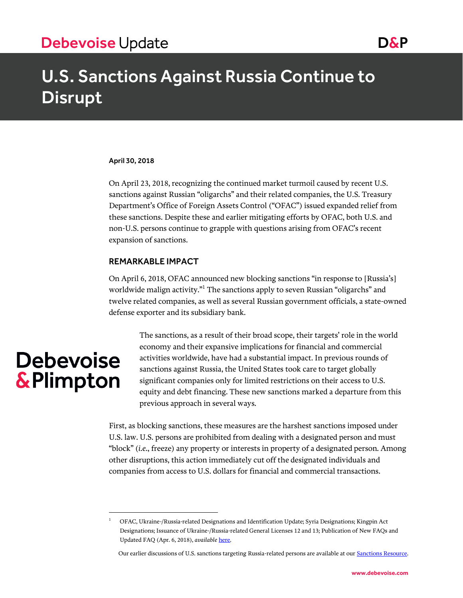# U.S. Sanctions Against Russia Continue to Disrupt

#### April 30, 2018

On April 23, 2018, recognizing the continued market turmoil caused by recent U.S. sanctions against Russian "oligarchs" and their related companies, the U.S. Treasury Department's Office of Foreign Assets Control ("OFAC") issued expanded relief from these sanctions. Despite these and earlier mitigating efforts by OFAC, both U.S. and non-U.S. persons continue to grapple with questions arising from OFAC's recent expansion of sanctions.

### REMARKABLE IMPACT

On April 6, 2018, OFAC announced new blocking sanctions "in response to [Russia's] worldwide malign activity."<sup>1</sup> The sanctions apply to seven Russian "oligarchs" and twelve related companies, as well as several Russian government officials, a state-owned defense exporter and its subsidiary bank.

# **Debevoise** & Plimpton

 $\overline{a}$ 

The sanctions, as a result of their broad scope, their targets' role in the world economy and their expansive implications for financial and commercial activities worldwide, have had a substantial impact. In previous rounds of sanctions against Russia, the United States took care to target globally significant companies only for limited restrictions on their access to U.S. equity and debt financing. These new sanctions marked a departure from this previous approach in several ways.

First, as blocking sanctions, these measures are the harshest sanctions imposed under U.S. law. U.S. persons are prohibited from dealing with a designated person and must "block" (*i.e.*, freeze) any property or interests in property of a designated person. Among other disruptions, this action immediately cut off the designated individuals and companies from access to U.S. dollars for financial and commercial transactions.

<sup>1</sup> OFAC, Ukraine-/Russia-related Designations and Identification Update; Syria Designations; Kingpin Act Designations; Issuance of Ukraine-/Russia-related General Licenses 12 and 13; Publication of New FAQs and Updated FAQ (Apr. 6, 2018), *available* [here.](https://www.treasury.gov/resource-center/sanctions/OFAC-Enforcement/Pages/20180406.aspx)

Our earlier discussions of U.S. sanctions targeting Russia-related persons are available at ou[r Sanctions Resource.](https://www.debevoise.com/news/the-sanctions-resource)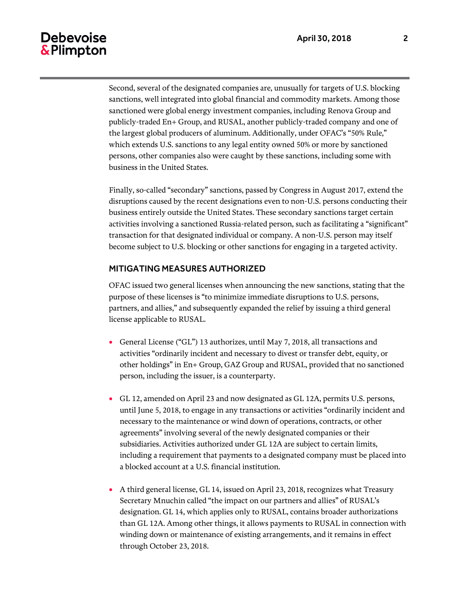# **Debevoise** & Plimpton

Second, several of the designated companies are, unusually for targets of U.S. blocking sanctions, well integrated into global financial and commodity markets. Among those sanctioned were global energy investment companies, including Renova Group and publicly-traded En+ Group, and RUSAL, another publicly-traded company and one of the largest global producers of aluminum. Additionally, under OFAC's "50% Rule," which extends U.S. sanctions to any legal entity owned 50% or more by sanctioned persons, other companies also were caught by these sanctions, including some with business in the United States.

Finally, so-called "secondary" sanctions, passed by Congress in August 2017, extend the disruptions caused by the recent designations even to non-U.S. persons conducting their business entirely outside the United States. These secondary sanctions target certain activities involving a sanctioned Russia-related person, such as facilitating a "significant" transaction for that designated individual or company. A non-U.S. person may itself become subject to U.S. blocking or other sanctions for engaging in a targeted activity.

### MITIGATING MEASURES AUTHORIZED

OFAC issued two general licenses when announcing the new sanctions, stating that the purpose of these licenses is "to minimize immediate disruptions to U.S. persons, partners, and allies," and subsequently expanded the relief by issuing a third general license applicable to RUSAL.

- General License ("GL") 13 authorizes, until May 7, 2018, all transactions and activities "ordinarily incident and necessary to divest or transfer debt, equity, or other holdings" in En+ Group, GAZ Group and RUSAL, provided that no sanctioned person, including the issuer, is a counterparty.
- GL 12, amended on April 23 and now designated as GL 12A, permits U.S. persons, until June 5, 2018, to engage in any transactions or activities "ordinarily incident and necessary to the maintenance or wind down of operations, contracts, or other agreements" involving several of the newly designated companies or their subsidiaries. Activities authorized under GL 12A are subject to certain limits, including a requirement that payments to a designated company must be placed into a blocked account at a U.S. financial institution.
- A third general license, GL 14, issued on April 23, 2018, recognizes what Treasury Secretary Mnuchin called "the impact on our partners and allies" of RUSAL's designation. GL 14, which applies only to RUSAL, contains broader authorizations than GL 12A. Among other things, it allows payments to RUSAL in connection with winding down or maintenance of existing arrangements, and it remains in effect through October 23, 2018.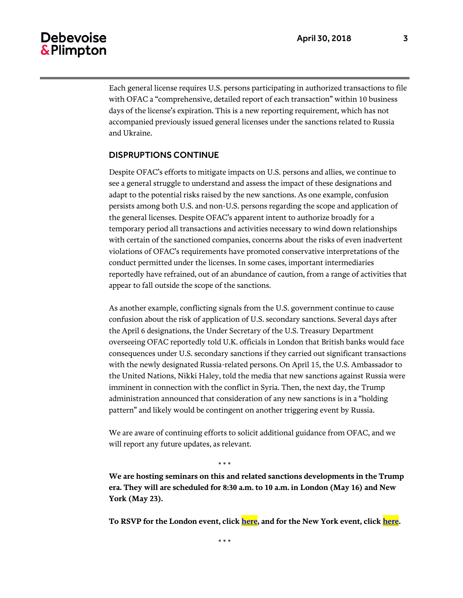## Debevoise & Plimpton

Each general license requires U.S. persons participating in authorized transactions to file with OFAC a "comprehensive, detailed report of each transaction" within 10 business days of the license's expiration. This is a new reporting requirement, which has not accompanied previously issued general licenses under the sanctions related to Russia and Ukraine.

### DISPRUPTIONS CONTINUE

Despite OFAC's efforts to mitigate impacts on U.S. persons and allies, we continue to see a general struggle to understand and assess the impact of these designations and adapt to the potential risks raised by the new sanctions. As one example, confusion persists among both U.S. and non-U.S. persons regarding the scope and application of the general licenses. Despite OFAC's apparent intent to authorize broadly for a temporary period all transactions and activities necessary to wind down relationships with certain of the sanctioned companies, concerns about the risks of even inadvertent violations of OFAC's requirements have promoted conservative interpretations of the conduct permitted under the licenses. In some cases, important intermediaries reportedly have refrained, out of an abundance of caution, from a range of activities that appear to fall outside the scope of the sanctions.

As another example, conflicting signals from the U.S. government continue to cause confusion about the risk of application of U.S. secondary sanctions. Several days after the April 6 designations, the Under Secretary of the U.S. Treasury Department overseeing OFAC reportedly told U.K. officials in London that British banks would face consequences under U.S. secondary sanctions if they carried out significant transactions with the newly designated Russia-related persons. On April 15, the U.S. Ambassador to the United Nations, Nikki Haley, told the media that new sanctions against Russia were imminent in connection with the conflict in Syria. Then, the next day, the Trump administration announced that consideration of any new sanctions is in a "holding pattern" and likely would be contingent on another triggering event by Russia.

We are aware of continuing efforts to solicit additional guidance from OFAC, and we will report any future updates, as relevant.

\* \* \*

**We are hosting seminars on this and related sanctions developments in the Trump era. They will are scheduled for 8:30 a.m. to 10 a.m. in London (May 16) and New York (May 23).** 

**To RSVP for the London event, clic[k here,](https://media.debevoise.com/20/1117/landing-pages/(lo)-rsvp-blank.asp) and for the New York event, clic[k here.](https://media.debevoise.com/20/1117/landing-pages/(ny)-rsvp-blank.asp)**